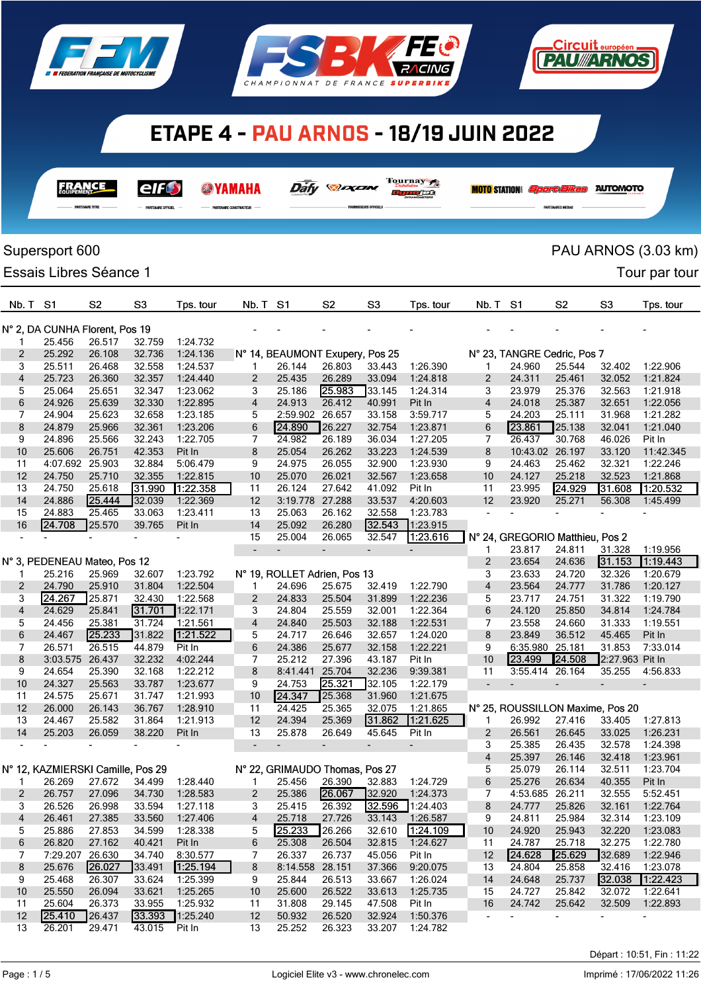

**FRANCE** 

elf $\bm{\Theta}$ 

**@YAMAHA** 





Daily **Day** 

Tournay 7

**Department** 

|              |                                   | <b>PARTENAIRE TITRE</b> | PARTENAIRE OFFICIEL      |                      |                          |                                 |                  | FOURNISSEURS OFFICIELS   |                          |                          |                                  |                  |                           |                      |
|--------------|-----------------------------------|-------------------------|--------------------------|----------------------|--------------------------|---------------------------------|------------------|--------------------------|--------------------------|--------------------------|----------------------------------|------------------|---------------------------|----------------------|
|              | Supersport 600                    |                         |                          |                      |                          |                                 |                  |                          |                          |                          |                                  |                  |                           | PAU ARNOS (3.03 km)  |
|              | Essais Libres Séance 1            |                         |                          |                      |                          |                                 |                  |                          |                          |                          |                                  |                  |                           | Tour par tour        |
| Nb. T        | S <sub>1</sub>                    | S <sub>2</sub>          | S <sub>3</sub>           | Tps. tour            | Nb. T                    | S1                              | S <sub>2</sub>   | S <sub>3</sub>           | Tps. tour                | Nb. T                    | S1                               | S <sub>2</sub>   | S <sub>3</sub>            | Tps. tour            |
|              | N° 2, DA CUNHA Florent, Pos 19    |                         |                          |                      |                          |                                 |                  |                          |                          |                          |                                  |                  |                           |                      |
| 1            | 25.456                            | 26.517                  | 32.759                   | 1:24.732             |                          |                                 |                  |                          |                          |                          |                                  |                  |                           |                      |
| 2            | 25.292                            | 26.108                  | 32.736                   | 1:24.136             |                          | N° 14, BEAUMONT Exupery, Pos 25 |                  |                          |                          |                          | N° 23, TANGRE Cedric, Pos 7      |                  |                           |                      |
| 3            | 25.511                            | 26.468                  | 32.558                   | 1:24.537             | 1                        | 26.144                          | 26.803           | 33.443                   | 1:26.390                 | 1                        | 24.960                           | 25.544           | 32.402                    | 1:22.906             |
| 4            | 25.723                            | 26.360                  | 32.357                   | 1:24.440             | 2                        | 25.435                          | 26.289           | 33.094                   | 1:24.818                 | $\overline{2}$           | 24.311                           | 25.461           | 32.052                    | 1:21.824             |
| 5            | 25.064                            | 25.651                  | 32.347                   | 1:23.062             | 3                        | 25.186                          | 25.983           | 33.145                   | 1:24.314                 | 3                        | 23.979                           | 25.376           | 32.563                    | 1:21.918             |
| 6            | 24.926                            | 25.639                  | 32.330                   | 1:22.895             | 4                        | 24.913                          | 26.412           | 40.991                   | Pit In                   | $\overline{4}$           | 24.018                           | 25.387           | 32.651                    | 1:22.056             |
| 7            | 24.904                            | 25.623                  | 32.658                   | 1:23.185             | 5                        | 2:59.902 26.657                 |                  | 33.158                   | 3:59.717                 | 5                        | 24.203                           | 25.111           | 31.968                    | 1:21.282             |
| 8<br>9       | 24.879<br>24.896                  | 25.966<br>25.566        | 32.361<br>32.243         | 1:23.206<br>1:22.705 | 6<br>7                   | 24.890<br>24.982                | 26.227<br>26.189 | 32.754                   | 1:23.871<br>1:27.205     | 6<br>7                   | 23.861<br>26.437                 | 25.138<br>30.768 | 32.041<br>46.026          | 1:21.040<br>Pit In   |
| 10           | 25.606                            | 26.751                  | 42.353                   | Pit In               | 8                        | 25.054                          | 26.262           | 36.034<br>33.223         | 1:24.539                 | 8                        | 10:43.02                         | 26.197           | 33.120                    | 11:42.345            |
| 11           | 4:07.692                          | 25.903                  | 32.884                   | 5:06.479             | 9                        | 24.975                          | 26.055           | 32.900                   | 1:23.930                 | 9                        | 24.463                           | 25.462           | 32.321                    | 1:22.246             |
| 12           | 24.750                            | 25.710                  | 32.355                   | 1:22.815             | 10                       | 25.070                          | 26.021           | 32.567                   | 1:23.658                 | 10                       | 24.127                           | 25.218           | 32.523                    | 1:21.868             |
| 13           | 24.750                            | 25.618                  | 31.990                   | 1:22.358             | 11                       | 26.124                          | 27.642           | 41.092                   | Pit In                   | 11                       | 23.995                           | 24.929           | 31.608                    | 1:20.532             |
| 14           | 24.886                            | 25.444                  | 32.039                   | 1:22.369             | 12                       | 3:19.778 27.288                 |                  | 33.537                   | 4:20.603                 | 12                       | 23.920                           | 25.271           | 56.308                    | 1:45.499             |
| 15           | 24.883                            | 25.465                  | 33.063                   | 1:23.411             | 13                       | 25.063                          | 26.162           | 32.558                   | 1:23.783                 |                          |                                  |                  |                           |                      |
| 16           | 24.708                            | 25.570                  | 39.765                   | Pit In               | 14                       | 25.092                          | 26.280           | 32.543                   | 1:23.915                 |                          |                                  |                  |                           |                      |
|              |                                   |                         |                          |                      | 15                       | 25.004                          | 26.065           | 32.547                   | 1.23.616                 |                          | N° 24, GREGORIO Matthieu, Pos 2  |                  |                           |                      |
|              |                                   |                         |                          |                      | $\overline{\phantom{a}}$ | $\overline{\phantom{m}}$        | $\overline{a}$   | $\overline{\phantom{0}}$ |                          | 1                        | 23.817                           | 24.811           | 31.328                    | 1:19.956             |
|              | N° 3, PEDENEAU Mateo, Pos 12      |                         |                          |                      |                          |                                 |                  |                          |                          | 2                        | 23.654                           | 24.636           | 31.153                    | 1:19.443             |
|              | 25.216                            | 25.969                  | 32.607                   | 1:23.792             |                          | N° 19, ROLLET Adrien, Pos 13    |                  |                          |                          | 3                        | 23.633                           | 24.720           | 32.326                    | 1:20.679             |
| 2            | 24.790                            | 25.910                  | 31.804                   | 1:22.504             | 1                        | 24.696                          | 25.675           | 32.419                   | 1:22.790                 | 4                        | 23.564                           | 24.777           | 31.786                    | 1:20.127             |
| 3            | 24.267                            | 25.871                  | 32.430                   | 1:22.568             | 2                        | 24.833                          | 25.504           | 31.899                   | 1:22.236                 | 5                        | 23.717                           | 24.751           | 31.322                    | 1:19.790             |
| 4            | 24.629                            | 25.841                  | 31.701                   | 1:22.171             | 3                        | 24.804                          | 25.559           | 32.001                   | 1:22.364                 | 6                        | 24.120                           | 25.850           | 34.814                    | 1:24.784             |
| 5            | 24.456                            | 25.381                  | 31.724                   | 1:21.561             | 4                        | 24.840                          | 25.503           | 32.188                   | 1:22.531                 | 7                        | 23.558                           | 24.660           | 31.333                    | 1:19.551             |
| 6            | 24.467                            | 25.233                  | 31.822                   | 1:21.522             | 5                        | 24.717                          | 26.646           | 32.657                   | 1:24.020                 | 8                        | 23.849                           | 36.512           | 45.465                    | Pit In<br>7:33.014   |
| 7<br>8       | 26.571<br>3:03.575                | 26.515<br>26.437        | 44.879<br>32.232         | Pit In<br>4:02.244   | 6<br>7                   | 24.386<br>25.212                | 25.677<br>27.396 | 32.158<br>43.187         | 1:22.221<br>Pit In       | 9<br>10                  | 6:35.980<br>23.499               | 25.181<br>24.508 | 31.853<br>2:27.963 Pit In |                      |
| 9            | 24.654                            | 25.390                  | 32.168                   | 1:22.212             | 8                        | 8:41.441                        | 25.704           | 32.236                   | 9:39.381                 | 11                       | 3:55.414                         | 26.164           | 35.255                    | 4:56.833             |
| 10           | 24.327                            | 25.563                  | 33.787                   | 1:23.677             | 9                        | 24.753                          | 25.321           | 32.105                   | 1:22.179                 | $\overline{\phantom{0}}$ |                                  |                  | $\overline{\phantom{0}}$  |                      |
| 11           | 24.575                            | 25.671                  | 31.747                   | 1:21.993             | 10                       | 24.347                          | 25.368           | 31.960                   | 1:21.675                 |                          |                                  |                  |                           |                      |
| 12           | 26.000                            | 26.143                  | 36.767                   | 1:28.910             | 11                       | 24.425                          | 25.365           | 32.075                   | 1:21.865                 |                          | N° 25, ROUSSILLON Maxime, Pos 20 |                  |                           |                      |
| 13           | 24.467                            | 25.582                  | 31.864                   | 1:21.913             | 12                       | 24.394                          | 25.369           | 31.862                   | 1:21.625                 |                          | 26.992                           | 27.416           | 33.405                    | 1:27.813             |
| 14           | 25.203                            | 26.059                  | 38.220                   | Pit In               | 13                       | 25.878                          | 26.649           | 45.645                   | Pit In                   | $\overline{c}$           | 26.561                           | 26.645           | 33.025                    | 1:26.231             |
|              |                                   |                         | $\overline{\phantom{0}}$ |                      | $\overline{\phantom{a}}$ | $\overline{\phantom{a}}$        | $\blacksquare$   | $\overline{\phantom{a}}$ | $\overline{\phantom{a}}$ | 3                        | 25.385                           | 26.435           | 32.578                    | 1:24.398             |
|              |                                   |                         |                          |                      |                          |                                 |                  |                          |                          | 4                        | 25.397                           | 26.146           | 32.418                    | 1:23.961             |
|              | N° 12, KAZMIERSKI Camille, Pos 29 |                         |                          |                      |                          | N° 22, GRIMAUDO Thomas, Pos 27  |                  |                          |                          | 5                        | 25.079                           | 26.114           | 32.511                    | 1:23.704             |
| $\mathbf{1}$ | 26.269                            | 27.672                  | 34.499                   | 1:28.440             | $\mathbf{1}$             | 25.456                          | 26.390           | 32.883                   | 1:24.729                 | 6                        | 25.276                           | 26.634           | 40.355                    | Pit In               |
| 2            | 26.757                            | 27.096                  | 34.730                   | 1:28.583             | 2                        | 25.386                          | 26.067           | 32.920                   | 1:24.373                 | 7                        | 4:53.685 26.211                  |                  | 32.555                    | 5:52.451             |
| 3            | 26.526                            | 26.998                  | 33.594                   | 1:27.118             | 3                        | 25.415                          | 26.392           | 32.596                   | 1:24.403                 | 8                        | 24.777                           | 25.826           | 32.161                    | 1:22.764             |
| 4            | 26.461                            | 27.385                  | 33.560                   | 1:27.406             | 4                        | 25.718                          | 27.726           | 33.143                   | 1:26.587                 | 9                        | 24.811                           | 25.984           | 32.314                    | 1:23.109             |
| 5            | 25.886                            | 27.853                  | 34.599                   | 1:28.338             | 5                        | 25.233                          | 26.266           | 32.610                   | [1:24.109]               | 10                       | 24.920                           | 25.943           | 32.220                    | 1:23.083             |
| 6            | 26.820                            | 27.162                  | 40.421                   | Pit In               | 6                        | 25.308                          | 26.504           | 32.815                   | 1:24.627                 | 11                       | 24.787                           | 25.718           | 32.275                    | 1:22.780             |
| 7            | 7:29.207 26.630                   | 26.027                  | 34.740                   | 8:30.577             | 7                        | 26.337                          | 26.737           | 45.056                   | Pit In                   | 12                       | 24.628<br>24.804                 | 25.629<br>25.858 | 32.689                    | 1:22.946             |
| 8<br>9       | 25.676<br>25.468                  | 26.307                  | 33.491<br>33.624         | 1:25.194<br>1:25.399 | 8                        | 8:14.558 28.151<br>25.844       | 26.513           | 37.366<br>33.667         | 9:20.075                 | 13<br>14                 |                                  |                  | 32.416<br>32.038          | 1:23.078<br>1.22.423 |
| 10           | 25.550                            | 26.094                  | 33.621                   | 1:25.265             | 9<br>10                  | 25.600                          | 26.522           | 33.613                   | 1:26.024<br>1:25.735     | 15                       | 24.648<br>24.727                 | 25.737<br>25.842 | 32.072                    | 1:22.641             |
| 11           | 25.604                            | 26.373                  | 33.955                   | 1:25.932             | 11                       | 31.808                          | 29.145           | 47.508                   | Pit In                   | 16                       | 24.742                           | 25.642           | 32.509                    | 1:22.893             |
| 12           | 25.410                            | 26.437                  | 33.393                   | 1:25.240             | 12                       | 50.932                          | 26.520           | 32.924                   | 1:50.376                 | $\overline{\phantom{a}}$ |                                  |                  |                           |                      |
| 13           | 26.201                            | 29.471                  | 43.015                   | Pit In               | 13                       | 25.252                          | 26.323           | 33.207                   | 1:24.782                 |                          |                                  |                  |                           |                      |

<u>Circuit européen</u> **T2WARNOS** 

**MOTO STATION** *Sport Elkes* Automoto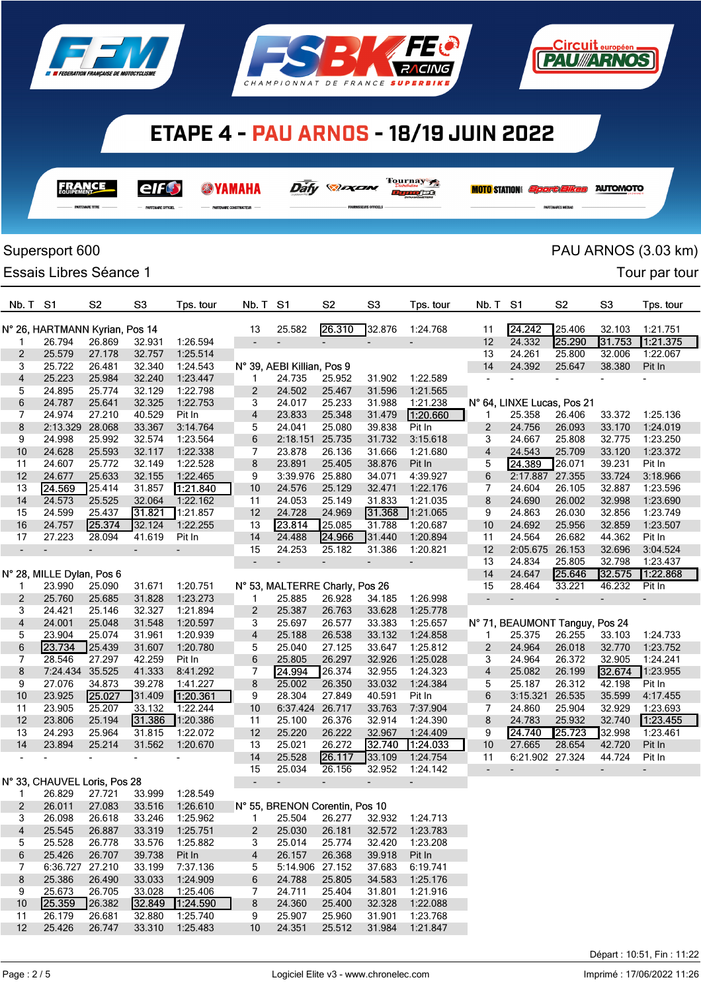





|                         |                                                           |                                                                                                                                                                                                                                                                                                                                                                                                                                                                                                         | $\mathcal{L}\mathcal{Q}$ |
|-------------------------|-----------------------------------------------------------|---------------------------------------------------------------------------------------------------------------------------------------------------------------------------------------------------------------------------------------------------------------------------------------------------------------------------------------------------------------------------------------------------------------------------------------------------------------------------------------------------------|--------------------------|
| <b>PARTENAIRE TITRE</b> | PARTENAIRE OFFICIEL<br>$\overline{\phantom{a}}$<br>$\sim$ | PARTENAIRE CONSTRUCTEUR -<br>$\frac{1}{2} \left( \frac{1}{2} \right) \left( \frac{1}{2} \right) \left( \frac{1}{2} \right) \left( \frac{1}{2} \right) \left( \frac{1}{2} \right) \left( \frac{1}{2} \right) \left( \frac{1}{2} \right) \left( \frac{1}{2} \right) \left( \frac{1}{2} \right) \left( \frac{1}{2} \right) \left( \frac{1}{2} \right) \left( \frac{1}{2} \right) \left( \frac{1}{2} \right) \left( \frac{1}{2} \right) \left( \frac{1}{2} \right) \left( \frac{1}{2} \right) \left( \frac$ | $\overline{\phantom{a}}$ |

Tournay 7  $\bar{\partial \overline{\partial}} \bar{f} \gamma$  .  $\bar{\partial} \bar{\partial} \bar{\partial} \bar{\partial} \gamma$ 

n<sub>un det</sub>

**MOTO STATION:** *Sport Elkes* AUTOMOTO

<u>.Circuit européen</u> **PAU ARNOS** 

# Supersport 600 **PAU ARNOS** (3.03 km)

Essais Libres Séance 1 and 2008 and 2009 and 2009 and 2009 and 2009 and 2009 and 2009 and 2009 and 2009 and 200

| Nb. T               | -S1                            | S <sub>2</sub> | S3                       | Tps. tour            | Nb. T S1                 |                                 | S2                       | S <sub>3</sub>           | Tps. tour                | Nb. T                    | S1                             | S <sub>2</sub> | S <sub>3</sub> | Tps. tour |
|---------------------|--------------------------------|----------------|--------------------------|----------------------|--------------------------|---------------------------------|--------------------------|--------------------------|--------------------------|--------------------------|--------------------------------|----------------|----------------|-----------|
|                     | N° 26, HARTMANN Kyrian, Pos 14 |                |                          |                      | 13                       | 25.582                          | 26.310                   | 32.876                   | 1:24.768                 | 11                       | 24.242                         | 25.406         | 32.103         | 1:21.751  |
| 1                   | 26.794                         | 26.869         | 32.931                   | 1:26.594             | $\overline{\phantom{m}}$ |                                 |                          | $\overline{\phantom{m}}$ |                          | 12                       | 24.332                         | 25.290         | 31.753         | 1:21.375  |
| 2                   | 25.579                         | 27.178         | 32.757                   | 1:25.514             |                          |                                 |                          |                          |                          | 13                       | 24.261                         | 25.800         | 32.006         | 1:22.067  |
| 3                   | 25.722                         | 26.481         | 32.340                   | 1:24.543             |                          | N° 39, AEBI Killian, Pos 9      |                          |                          |                          | 14                       | 24.392                         | 25.647         | 38.380         | Pit In    |
| 4                   | 25.223                         | 25.984         | 32.240                   | 1:23.447             | 1                        | 24.735                          | 25.952                   | 31.902                   | 1:22.589                 |                          | ٠                              |                |                |           |
| 5                   | 24.895                         | 25.774         | 32.129                   | 1:22.798             | $\overline{2}$           | 24.502                          | 25.467                   | 31.596                   | 1:21.565                 |                          |                                |                |                |           |
| 6                   | 24.787                         | 25.641         | 32.325                   | 1:22.753             | 3                        | 24.017                          | 25.233                   | 31.988                   | 1:21.238                 |                          | N° 64, LINXE Lucas, Pos 21     |                |                |           |
| 7                   | 24.974                         | 27.210         | 40.529                   | Pit In               | $\overline{\mathbf{4}}$  | 23.833                          | 25.348                   | 31.479                   | 1:20.660                 | 1                        | 25.358                         | 26.406         | 33.372         | 1:25.136  |
| 8                   | 2:13.329                       | 28.068         | 33.367                   | 3:14.764             | 5                        | 24.041                          | 25.080                   | 39.838                   | Pit In                   | 2                        | 24.756                         | 26.093         | 33.170         | 1:24.019  |
| 9                   | 24.998                         | 25.992         | 32.574                   | 1:23.564             | 6                        | 2:18.151                        | 25.735                   | 31.732                   | 3:15.618                 | 3                        | 24.667                         | 25.808         | 32.775         | 1:23.250  |
| 10                  | 24.628                         | 25.593         | 32.117                   | 1:22.338             | 7                        | 23.878                          | 26.136                   | 31.666                   | 1:21.680                 | 4                        | 24.543                         | 25.709         | 33.120         | 1:23.372  |
| 11                  | 24.607                         | 25.772         | 32.149                   | 1:22.528             | 8                        | 23.891                          | 25.405                   | 38.876                   | Pit In                   | 5                        | 24.389                         | 26.071         | 39.231         | Pit In    |
| 12                  | 24.677                         | 25.633         | 32.155                   | 1:22.465             | 9                        | 3:39.976 25.880                 |                          | 34.071                   | 4:39.927                 | 6                        | 2:17.887 27.355                |                | 33.724         | 3:18.966  |
| 13                  | 24.569                         | 25.414         | 31.857                   | 1:21.840             | 10                       | 24.576                          | 25.129                   | 32.471                   | 1:22.176                 | 7                        | 24.604                         | 26.105         | 32.887         | 1:23.596  |
| 14                  | 24.573                         | 25.525         | 32.064                   | 1:22.162             | 11                       | 24.053                          | 25.149                   | 31.833                   | 1:21.035                 | 8                        | 24.690                         | 26.002         | 32.998         | 1:23.690  |
| 15                  | 24.599                         | 25.437         | 31.821                   | 1:21.857             | 12                       | 24.728                          | 24.969                   | 31.368                   | 1:21.065                 | 9                        | 24.863                         | 26.030         | 32.856         | 1:23.749  |
| 16                  | 24.757                         | 25.374         | 32.124                   | 1:22.255             | 13                       | 23.814                          | 25.085                   | 31.788                   | 1:20.687                 | 10                       | 24.692                         | 25.956         | 32.859         | 1:23.507  |
| 17                  | 27.223                         | 28.094         | 41.619                   | Pit In               | 14                       | 24.488                          | 24.966                   | 31.440                   | 1:20.894                 | 11                       | 24.564                         | 26.682         | 44.362         | Pit In    |
|                     |                                |                | $\overline{\phantom{a}}$ |                      | 15                       | 24.253                          | 25.182                   | 31.386                   | 1:20.821                 | 12                       | 2:05.675                       | 26.153         | 32.696         | 3:04.524  |
|                     |                                |                |                          |                      |                          | $\overline{\phantom{m}}$        | $\overline{\phantom{a}}$ |                          |                          | 13                       | 24.834                         | 25.805         | 32.798         | 1:23.437  |
|                     | N° 28, MILLE Dylan, Pos 6      |                |                          |                      | $\overline{\phantom{a}}$ |                                 |                          | $\overline{\phantom{a}}$ | $\overline{\phantom{a}}$ | 14                       | 24.647                         | 25.646         | 32.575         | 1.22.868  |
| 1                   | 23.990                         | 25.090         | 31.671                   | 1:20.751             |                          | N° 53, MALTERRE Charly, Pos 26  |                          |                          |                          | 15                       | 28.464                         | 33.221         | 46.232         | Pit In    |
|                     |                                |                |                          | 1:23.273             |                          | 25.885                          | 26.928                   | 34.185                   |                          | $\overline{\phantom{a}}$ | $\blacksquare$                 | ÷,             |                |           |
| 2                   | 25.760                         | 25.685         | 31.828                   |                      | 1.                       |                                 |                          | 33.628                   | 1:26.998                 |                          |                                |                |                |           |
| 3<br>$\overline{4}$ | 24.421<br>24.001               | 25.146         | 32.327                   | 1:21.894<br>1:20.597 | $\overline{2}$           | 25.387                          | 26.763                   |                          | 1:25.778                 |                          | N° 71, BEAUMONT Tanguy, Pos 24 |                |                |           |
|                     |                                | 25.048         | 31.548                   |                      | 3                        | 25.697                          | 26.577                   | 33.383                   | 1:25.657                 |                          |                                |                |                |           |
| 5                   | 23.904                         | 25.074         | 31.961                   | 1:20.939             | $\overline{4}$           | 25.188                          | 26.538                   | 33.132                   | 1:24.858                 | 1                        | 25.375                         | 26.255         | 33.103         | 1:24.733  |
| 6                   | 23.734                         | 25.439         | 31.607                   | 1:20.780             | 5                        | 25.040                          | 27.125                   | 33.647                   | 1:25.812                 | $\overline{c}$           | 24.964                         | 26.018         | 32.770         | 1:23.752  |
| 7                   | 28.546                         | 27.297         | 42.259                   | Pit In               | 6                        | 25.805                          | 26.297                   | 32.926                   | 1:25.028                 | 3                        | 24.964                         | 26.372         | 32.905         | 1:24.241  |
| 8                   | 7:24.434 35.525                |                | 41.333                   | 8:41.292             | 7                        | 24.994                          | 26.374                   | 32.955                   | 1:24.323                 | 4                        | 25.082                         | 26.199         | 32.674         | 1:23.955  |
| 9                   | 27.076                         | 34.873         | 39.278                   | 1:41.227             | 8                        | 25.002                          | 26.350                   | 33.032                   | 1:24.384                 | 5                        | 25.187                         | 26.312         | 42.198         | Pit In    |
| 10                  | 23.925                         | 25.027         | 31.409                   | 1.20.361             | 9                        | 28.304                          | 27.849                   | 40.591                   | Pit In                   | 6                        | 3:15.321                       | 26.535         | 35.599         | 4:17.455  |
| 11                  | 23.905                         | 25.207         | 33.132                   | 1:22.244             | 10                       | 6:37.424 26.717                 |                          | 33.763                   | 7:37.904                 | 7                        | 24.860                         | 25.904         | 32.929         | 1:23.693  |
| 12                  | 23.806                         | 25.194         | 31.386                   | 1:20.386             | 11                       | 25.100                          | 26.376                   | 32.914                   | 1:24.390                 | 8                        | 24.783                         | 25.932         | 32.740         | 1:23.455  |
| 13                  | 24.293                         | 25.964         | 31.815                   | 1:22.072             | 12                       | 25.220                          | 26.222                   | 32.967                   | 1:24.409                 | 9                        | 24.740                         | 25.723         | 32.998         | 1:23.461  |
| 14                  | 23.894                         | 25.214         | 31.562                   | 1:20.670             | 13                       | 25.021                          | 26.272                   | 32.740                   | 1:24.033                 | 10                       | 27.665                         | 28.654         | 42.720         | Pit In    |
|                     |                                |                |                          |                      | 14                       | 25.528                          | 26.117                   | 33.109                   | 1:24.754                 | 11                       | 6:21.902 27.324                |                | 44.724         | Pit In    |
|                     |                                |                |                          |                      | 15                       | 25.034                          | 26.156                   | 32.952                   | 1:24.142                 |                          |                                |                |                |           |
|                     | N° 33, CHAUVEL Loris, Pos 28   |                |                          |                      | $\overline{\phantom{a}}$ | $\overline{\phantom{a}}$        | $\overline{\phantom{a}}$ | $\overline{\phantom{a}}$ | $\overline{\phantom{a}}$ |                          |                                |                |                |           |
| 1                   | 26.829                         | 27.721         | 33.999                   | 1:28.549             |                          |                                 |                          |                          |                          |                          |                                |                |                |           |
| 2                   | 26.011                         | 27.083         | 33.516                   | 1:26.610             |                          | N° 55, BRENON Corentin, Pos 10  |                          |                          |                          |                          |                                |                |                |           |
| 3                   | 26.098                         | 26.618         | 33.246                   | 1:25.962             |                          | 1 25.504 26.277 32.932 1:24.713 |                          |                          |                          |                          |                                |                |                |           |
| 4                   | 25.545                         | 26.887         | 33.319                   | 1:25.751             | 2                        | 25.030                          | 26.181                   | 32.572                   | 1:23.783                 |                          |                                |                |                |           |
| 5                   | 25.528                         | 26.778         | 33.576                   | 1:25.882             | 3                        | 25.014                          | 25.774                   | 32.420                   | 1:23.208                 |                          |                                |                |                |           |
| 6                   | 25.426                         | 26.707         | 39.738                   | Pit In               | 4                        | 26.157                          | 26.368                   | 39.918                   | Pit In                   |                          |                                |                |                |           |
| 7                   | 6:36.727 27.210                |                | 33.199                   | 7:37.136             | 5                        | 5:14.906 27.152                 |                          | 37.683                   | 6:19.741                 |                          |                                |                |                |           |
| 8                   | 25.386                         | 26.490         | 33.033                   | 1:24.909             | 6                        | 24.788                          | 25.805                   | 34.583                   | 1:25.176                 |                          |                                |                |                |           |
| 9                   | 25.673                         | 26.705         | 33.028                   | 1:25.406             | 7                        | 24.711                          | 25.404                   | 31.801                   | 1:21.916                 |                          |                                |                |                |           |
| $10$                | 25.359                         | 26.382         | 32.849                   | 1:24.590             | 8                        | 24.360                          | 25.400                   | 32.328                   | 1:22.088                 |                          |                                |                |                |           |
| 11                  | 26.179                         | 26.681         | 32.880                   | 1:25.740             | 9                        | 25.907                          | 25.960                   | 31.901                   | 1:23.768                 |                          |                                |                |                |           |
| 12                  | 25.426                         | 26.747         | 33.310                   | 1:25.483             | 10                       | 24.351                          | 25.512                   | 31.984                   | 1:21.847                 |                          |                                |                |                |           |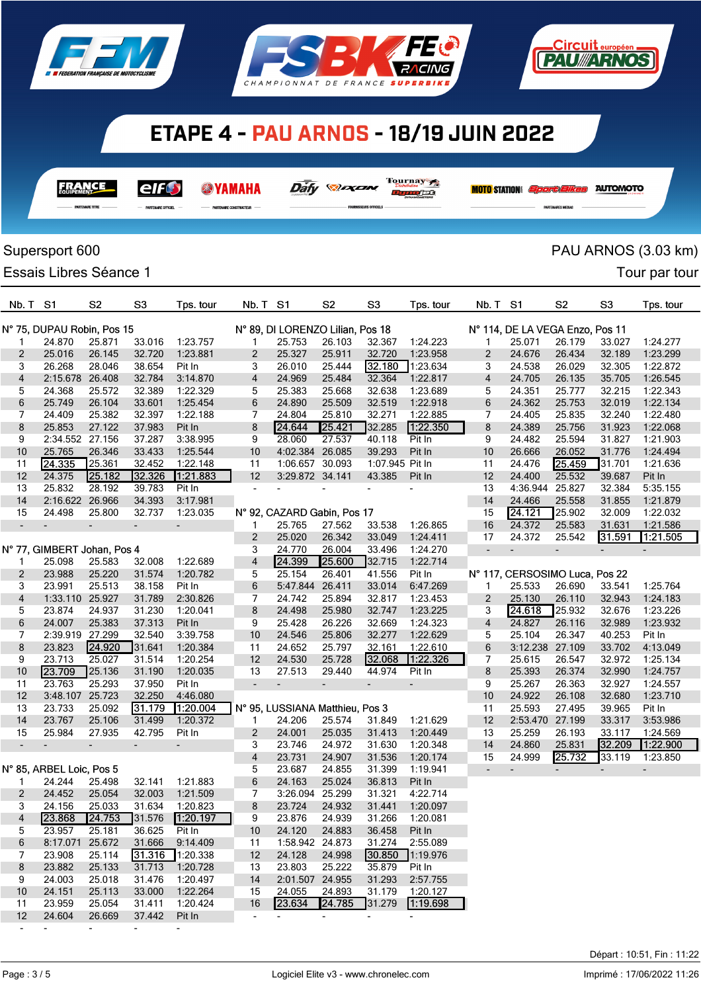

**FRANCE** 

elfO

**WAMAHA** 





Daily **Days** 

Tournay 7

**Dynafe8** 

|                | Supersport 600              |                |                |           |                          |                                  |                          |                          |                          |                          |                                 |                          |                          | PAU ARNOS (3.03 km)      |
|----------------|-----------------------------|----------------|----------------|-----------|--------------------------|----------------------------------|--------------------------|--------------------------|--------------------------|--------------------------|---------------------------------|--------------------------|--------------------------|--------------------------|
|                |                             |                |                |           |                          |                                  |                          |                          |                          |                          |                                 |                          |                          |                          |
|                | Essais Libres Séance 1      |                |                |           |                          |                                  |                          |                          |                          |                          |                                 |                          |                          | Tour par tour            |
| Nb. T          | S <sub>1</sub>              | S <sub>2</sub> | S <sub>3</sub> | Tps. tour | Nb. T                    | S <sub>1</sub>                   | S <sub>2</sub>           | S <sub>3</sub>           | Tps. tour                | Nb. T                    | S <sub>1</sub>                  | S <sub>2</sub>           | S3                       | Tps. tour                |
|                | N° 75, DUPAU Robin, Pos 15  |                |                |           |                          | N° 89, DI LORENZO Lilian, Pos 18 |                          |                          |                          |                          | N° 114, DE LA VEGA Enzo, Pos 11 |                          |                          |                          |
| 1              | 24.870                      | 25.871         | 33.016         | 1:23.757  | 1                        | 25.753                           | 26.103                   | 32.367                   | 1:24.223                 | 1                        | 25.071                          | 26.179                   | 33.027                   | 1:24.277                 |
| $\overline{2}$ | 25.016                      | 26.145         | 32.720         | 1:23.881  | 2                        | 25.327                           | 25.911                   | 32.720                   | 1:23.958                 | $\overline{2}$           | 24.676                          | 26.434                   | 32.189                   | 1:23.299                 |
| 3              | 26.268                      | 28.046         | 38.654         | Pit In    | 3                        | 26.010                           | 25.444                   | 32.180                   | 1:23.634                 | 3                        | 24.538                          | 26.029                   | 32.305                   | 1:22.872                 |
| 4              | 2:15.678 26.408             |                | 32.784         | 3:14.870  | 4                        | 24.969                           | 25.484                   | 32.364                   | 1:22.817                 | 4                        | 24.705                          | 26.135                   | 35.705                   | 1:26.545                 |
| 5              | 24.368                      | 25.572         | 32.389         | 1:22.329  | 5                        | 25.383                           | 25.668                   | 32.638                   | 1:23.689                 | 5                        | 24.351                          | 25.777                   | 32.215                   | 1:22.343                 |
| 6              | 25.749                      | 26.104         | 33.601         | 1:25.454  | 6                        | 24.890                           | 25.509                   | 32.519                   | 1:22.918                 | 6                        | 24.362                          | 25.753                   | 32.019                   | 1:22.134                 |
| 7              | 24.409                      | 25.382         | 32.397         | 1:22.188  | 7                        | 24.804                           | 25.810                   | 32.271                   | 1:22.885                 | 7                        | 24.405                          | 25.835                   | 32.240                   | 1:22.480                 |
| 8              | 25.853                      | 27.122         | 37.983         | Pit In    | 8                        | 24.644                           | 25.421                   | 32.285                   | 1:22.350                 | 8                        | 24.389                          | 25.756                   | 31.923                   | 1:22.068                 |
| 9              | 2:34.552 27.156             |                | 37.287         | 3:38.995  | 9                        | 28.060                           | 27.537                   | 40.118                   | Pit In                   | 9                        | 24.482                          | 25.594                   | 31.827                   | 1:21.903                 |
| 10             | 25.765                      | 26.346         | 33.433         | 1:25.544  | 10                       | 4:02.384                         | 26.085                   | 39.293                   | Pit In                   | 10                       | 26.666                          | 26.052                   | 31.776                   | 1:24.494                 |
| 11             | 24.335                      | 25.361         | 32.452         | 1:22.148  | 11                       | 1:06.657 30.093                  |                          | 1:07.945 Pit In          |                          | 11                       | 24.476                          | 25.459                   | 31.701                   | 1:21.636                 |
| 12             | 24.375                      | 25.182         | 32.326         | 1:21.883  | 12                       | 3:29.872 34.141                  |                          | 43.385                   | Pit In                   | 12                       | 24.400                          | 25.532                   | 39.687                   | Pit In                   |
| 13             | 25.832                      | 28.192         | 39.783         | Pit In    | $\blacksquare$           |                                  |                          |                          |                          | 13                       | 4:36.944                        | 25.827                   | 32.384                   | 5:35.155                 |
| 14             | 2:16.622                    | 26.966         | 34.393         | 3:17.981  |                          |                                  |                          |                          |                          | 14                       | 24.466                          | 25.558                   | 31.855                   | 1:21.879                 |
| 15             | 24.498                      | 25.800         | 32.737         | 1:23.035  |                          | N° 92, CAZARD Gabin, Pos 17      |                          |                          |                          | 15                       | 24.121                          | 25.902                   | 32.009                   | 1:22.032                 |
|                |                             | $\overline{a}$ |                |           | 1                        | 25.765                           | 27.562                   | 33.538                   | 1:26.865                 | 16                       | 24.372                          | 25.583                   | 31.631                   | 1:21.586                 |
|                |                             |                |                |           | 2                        | 25.020                           | 26.342                   | 33.049                   | 1:24.411                 | 17                       | 24.372                          | 25.542                   | 31.591                   | 1.21.505                 |
|                | N° 77, GIMBERT Johan, Pos 4 |                |                |           | 3                        | 24.770                           | 26.004                   | 33.496                   | 1:24.270                 | $\overline{\phantom{a}}$ |                                 | $\overline{\phantom{a}}$ | $\overline{\phantom{a}}$ | $\overline{\phantom{a}}$ |
| 1              | 25.098                      | 25.583         | 32.008         | 1:22.689  | 4                        | 24.399                           | 25.600                   | 32.715                   | 1:22.714                 |                          |                                 |                          |                          |                          |
| 2              | 23.988                      | 25.220         | 31.574         | 1:20.782  | 5                        | 25.154                           | 26.401                   | 41.556                   | Pit In                   |                          | N° 117, CERSOSIMO Luca, Pos 22  |                          |                          |                          |
| 3              | 23.991                      | 25.513         | 38.158         | Pit In    | 6                        | 5:47.844                         | 26.411                   | 33.014                   | 6:47.269                 | 1                        | 25.533                          | 26.690                   | 33.541                   | 1:25.764                 |
| 4              | 1:33.110 25.927             |                | 31.789         | 2:30.826  | 7                        | 24.742                           | 25.894                   | 32.817                   | 1:23.453                 | $\overline{2}$           | 25.130                          | 26.110                   | 32.943                   | 1:24.183                 |
| 5              | 23.874                      | 24.937         | 31.230         | 1:20.041  | 8                        | 24.498                           | 25.980                   | 32.747                   | 1:23.225                 | 3                        | $24.\overline{618}$             | 25.932                   | 32.676                   | 1:23.226                 |
| 6              | 24.007                      | 25.383         | 37.313         | Pit In    | 9                        | 25.428                           | 26.226                   | 32.669                   | 1:24.323                 | 4                        | 24.827                          | 26.116                   | 32.989                   | 1:23.932                 |
| 7              | 2:39.919 27.299             |                | 32.540         | 3:39.758  | 10                       | 24.546                           | 25.806                   | 32.277                   | 1:22.629                 | 5                        | 25.104                          | 26.347                   | 40.253                   | Pit In                   |
| 8              | 23.823                      | 24.920         | 31.641         | 1:20.384  | 11                       | 24.652                           | 25.797                   | 32.161                   | 1:22.610                 | 6                        | 3:12.238 27.109                 |                          | 33.702                   | 4:13.049                 |
| 9              | 23.713                      | 25.027         | 31.514         | 1:20.254  | 12                       | 24.530                           | 25.728                   | 32.068                   | 1:22.326                 | 7                        | 25.615                          | 26.547                   | 32.972                   | 1:25.134                 |
| 10             | 23.709                      | 25.136         | 31.190         | 1:20.035  | 13                       | 27.513                           | 29.440                   | 44.974                   | Pit In                   | 8                        | 25.393                          | 26.374                   | 32.990                   | 1:24.757                 |
| 11             | 23.763                      | 25.293         | 37.950         | Pit In    | $\overline{\phantom{a}}$ | $\overline{\phantom{a}}$         | $\overline{\phantom{a}}$ |                          | $\overline{\phantom{m}}$ | 9                        | 25.267                          | 26.363                   | 32.927                   | 1:24.557                 |
| 12             | 3:48.107                    | 25.723         | 32.250         | 4:46.080  |                          |                                  |                          |                          |                          | 10                       | 24.922                          | 26.108                   | 32.680                   | 1:23.710                 |
| 13             | 23.733                      | 25.092         | 31.179         | 1:20.004  |                          | N° 95, LUSSIANA Matthieu, Pos 3  |                          |                          |                          | 11                       | 25.593                          | 27.495                   | 39.965                   | Pit In                   |
| 14             | 23.767                      | 25.106         | 31.499         | 1:20.372  | 1                        | 24.206                           | 25.574                   | 31.849                   | 1:21.629                 | 12                       | 2:53.470                        | 27.199                   | 33.317                   | 3:53.986                 |
| 15             | 25.984                      | 27.935         | 42.795         | Pit In    | 2                        | 24.001                           | 25.035                   | 31.413                   | 1:20.449                 | 13                       | 25.259                          | 26.193                   | 33.117                   | 1:24.569                 |
|                | ٠                           | ٠              | ٠              | ٠         | 3                        | 23.746                           | 24.972                   | 31.630                   | 1:20.348                 | 14                       | 24.860                          | 25.831                   | 32.209                   | [1:22.900]               |
|                |                             |                |                |           | 4                        | 23.731                           | 24.907                   | 31.536                   | 1:20.174                 | 15                       | 24.999                          | 25.732                   | 33.119                   | 1:23.850                 |
|                | N° 85, ARBEL Loic, Pos 5    |                |                |           | 5                        | 23.687                           | 24.855                   | 31.399                   | 1:19.941                 | $\overline{\phantom{a}}$ | $\blacksquare$                  |                          |                          | $\overline{\phantom{a}}$ |
| 1.             | 24.244                      | 25.498         | 32.141         | 1:21.883  | 6                        | 24.163                           | 25.024                   | 36.813                   | Pit In                   |                          |                                 |                          |                          |                          |
| 2              | 24.452                      | 25.054         | 32.003         | 1:21.509  | 7                        | 3:26.094 25.299                  |                          | 31.321                   | 4:22.714                 |                          |                                 |                          |                          |                          |
| 3              | 24.156                      | 25.033         | 31.634         | 1:20.823  | 8                        | 23.724                           | 24.932                   | 31.441                   | 1:20.097                 |                          |                                 |                          |                          |                          |
| 4              | 23.868                      | 24.753         | 31.576         | 1:20.197  | 9                        | 23.876                           | 24.939                   | 31.266                   | 1:20.081                 |                          |                                 |                          |                          |                          |
| 5              | 23.957                      | 25.181         | 36.625         | Pit In    | 10                       | 24.120                           | 24.883                   | 36.458                   | Pit In                   |                          |                                 |                          |                          |                          |
| 6              | 8:17.071 25.672             |                | 31.666         | 9:14.409  | 11                       | 1:58.942 24.873                  |                          | 31.274                   | 2:55.089                 |                          |                                 |                          |                          |                          |
| 7              | 23.908                      | 25.114         | 31.316         | 1:20.338  | 12                       | 24.128                           | 24.998                   | 30.850                   | 1:19.976                 |                          |                                 |                          |                          |                          |
| 8              | 23.882                      | 25.133         | 31.713         | 1:20.728  | 13                       | 23.803                           | 25.222                   | 35.879                   | Pit In                   |                          |                                 |                          |                          |                          |
| 9              | 24.003                      | 25.018         | 31.476         | 1:20.497  | 14                       | 2:01.507 24.955                  |                          | 31.293                   | 2:57.755                 |                          |                                 |                          |                          |                          |
| 10             | 24.151                      | 25.113         | 33.000         | 1:22.264  | 15                       | 24.055                           | 24.893                   | 31.179                   | 1:20.127                 |                          |                                 |                          |                          |                          |
| 11             | 23.959                      | 25.054         | 31.411         | 1:20.424  | 16                       | 23.634                           | 24.785                   | 31.279                   | 1:19.698                 |                          |                                 |                          |                          |                          |
| 12             | 24.604                      | 26.669         | 37.442         | Pit In    | $\sim$                   | $\overline{\phantom{a}}$         | ۰.                       | $\overline{\phantom{a}}$ | ٠                        |                          |                                 |                          |                          |                          |

- - - - -

<u> Eircuit européen</u> **TEAU ARNOS** 

**MOTO STATION:** *Sport Elkes* AUTOMOTO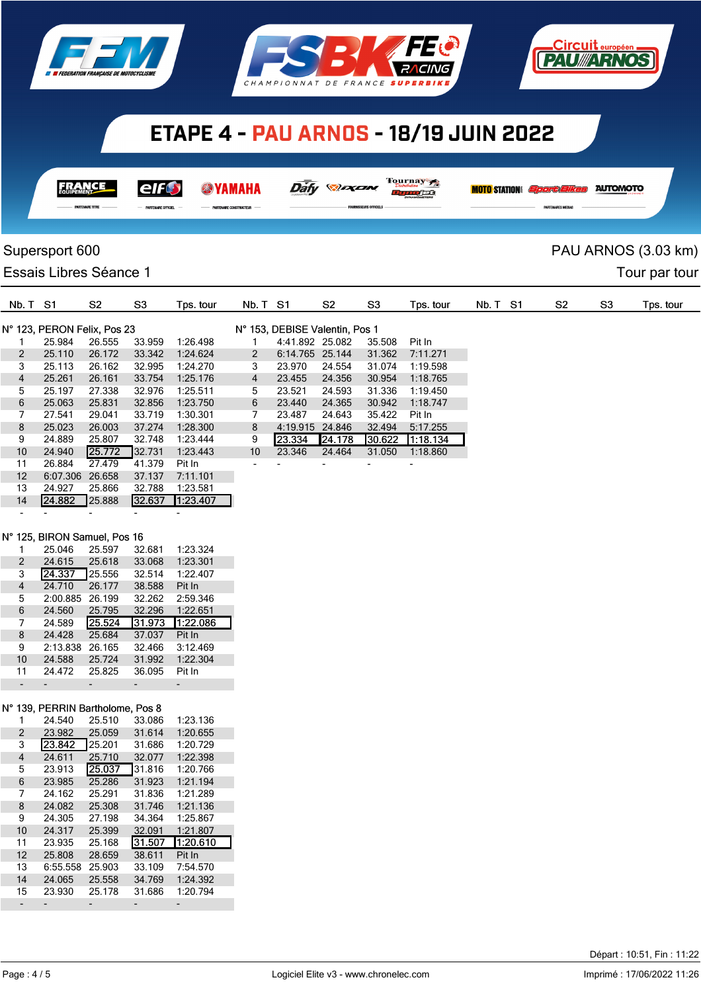





| <b>FRANC</b>         | <b>AILG</b>                 |                             | Dáfy<br>$\mathcal{L}$ $\mathcal{L}$ $\mathcal{L}$ | Tournay 7<br>re<br><b>DYNAMOMETERS</b> | <b>MOTO</b> STATION <i>Sport Eikes</i> | <b>AUTOMOTO</b> |
|----------------------|-----------------------------|-----------------------------|---------------------------------------------------|----------------------------------------|----------------------------------------|-----------------|
| <b>EXAMPLE TITRE</b> | $-$ PARTENAIRE OFFICIEL $-$ | - PARTENAIRE CONSTRUCTEUR - | - FOURNISSEURS OFFICIELS -                        |                                        | <b>PARTENAIRES MEDIAS</b>              |                 |

## Supersport 600 **PAU ARNOS** (3.03 km)

## Essais Libres Séance 1 and 2008 and 2009 and 2009 and 2009 and 2009 and 2009 and 2009 and 2009 and 2009 and 200

| Nb. T S1          |                             | S <sub>2</sub> | S <sub>3</sub> | Tps. tour | Nb. T S1       |                                | S <sub>2</sub>           | S <sub>3</sub> | Tps. tour                | Nb. T S1 | S2 | S <sub>3</sub> | Tps. tour |
|-------------------|-----------------------------|----------------|----------------|-----------|----------------|--------------------------------|--------------------------|----------------|--------------------------|----------|----|----------------|-----------|
|                   | N° 123, PERON Felix, Pos 23 |                |                |           |                | N° 153, DEBISE Valentin, Pos 1 |                          |                |                          |          |    |                |           |
|                   | 25.984                      | 26.555         | 33.959         | 1:26.498  |                | 4:41.892 25.082                |                          | 35.508         | Pit In                   |          |    |                |           |
| 2                 | 25.110                      | 26.172         | 33.342         | 1:24.624  | 2              | 6:14.765 25.144                |                          | 31.362         | 7:11.271                 |          |    |                |           |
| 3                 | 25.113                      | 26.162         | 32.995         | 1:24.270  | 3              | 23.970                         | 24.554                   | 31.074         | 1:19.598                 |          |    |                |           |
| $\overline{4}$    | 25.261                      | 26.161         | 33.754         | 1:25.176  | $\overline{4}$ | 23.455                         | 24.356                   | 30.954         | 1:18.765                 |          |    |                |           |
| 5                 | 25.197                      | 27.338         | 32.976         | 1:25.511  | 5.             | 23.521                         | 24.593                   | 31.336         | 1:19.450                 |          |    |                |           |
| 6                 | 25.063                      | 25.831         | 32.856         | 1:23.750  | 6              | 23.440                         | 24.365                   | 30.942         | 1:18.747                 |          |    |                |           |
| 7                 | 27.541                      | 29.041         | 33.719         | 1:30.301  | 7              | 23.487                         | 24.643                   | 35.422         | Pit In                   |          |    |                |           |
| 8                 | 25.023                      | 26.003         | 37.274         | 1:28.300  | 8              | 4:19.915 24.846                |                          | 32.494         | 5:17.255                 |          |    |                |           |
| 9                 | 24.889                      | 25.807         | 32.748         | 1:23.444  | 9              | 23.334                         | <b>24.178</b>            | 30.622         | 11:18.134                |          |    |                |           |
| 10                | 24.940                      | 25.772         | 32.731         | 1:23.443  | 10             | 23.346                         | 24.464                   | 31.050         | 1:18.860                 |          |    |                |           |
| 11                | 26.884                      | 27.479         | 41.379         | Pit In    |                |                                | $\overline{\phantom{a}}$ | -              | $\overline{\phantom{0}}$ |          |    |                |           |
| $12 \overline{ }$ | 6:07.306                    | 26.658         | 37.137         | 7:11.101  |                |                                |                          |                |                          |          |    |                |           |
| 13                | 24.927                      | 25.866         | 32.788         | 1:23.581  |                |                                |                          |                |                          |          |    |                |           |

#### N° 125, BIRON Samuel, Pos 16

- - - - -

14 24.882 25.888

|    | 25.046   | 25.597 | 32.681 | 1:23.324 |
|----|----------|--------|--------|----------|
| 2  | 24.615   | 25.618 | 33.068 | 1:23.301 |
| 3  | 24.337   | 25.556 | 32.514 | 1:22.407 |
| 4  | 24.710   | 26.177 | 38.588 | Pit In   |
| 5  | 2:00.885 | 26.199 | 32.262 | 2:59.346 |
| 6  | 24.560   | 25.795 | 32.296 | 1:22.651 |
|    |          |        |        |          |
| 7  | 24.589   | 25.524 | 31.973 | 1:22.086 |
| 8  | 24.428   | 25.684 | 37.037 | Pit In   |
| 9  | 2:13.838 | 26.165 | 32.466 | 3:12.469 |
| 10 | 24.588   | 25.724 | 31.992 | 1:22.304 |
| 11 | 24.472   | 25.825 | 36.095 | Pit In   |

### N° 139, PERRIN Bartholome, Pos 8

| 1  | 24.540   | 25.510 | 33.086 | 1:23.136 |
|----|----------|--------|--------|----------|
| 2  | 23.982   | 25.059 | 31.614 | 1:20.655 |
| 3  | 23.842   | 25.201 | 31.686 | 1:20.729 |
| 4  | 24.611   | 25.710 | 32.077 | 1:22.398 |
| 5  | 23.913   | 25.037 | 31.816 | 1:20.766 |
| 6  | 23.985   | 25.286 | 31.923 | 1:21.194 |
| 7  | 24.162   | 25.291 | 31.836 | 1:21.289 |
| 8  | 24.082   | 25.308 | 31.746 | 1:21.136 |
| 9  | 24.305   | 27.198 | 34.364 | 1:25.867 |
| 10 | 24.317   | 25.399 | 32.091 | 1:21.807 |
| 11 | 23.935   | 25.168 | 31.507 | 1:20.610 |
| 12 | 25.808   | 28.659 | 38.611 | Pit In   |
| 13 | 6:55.558 | 25.903 | 33.109 | 7:54.570 |
| 14 | 24.065   | 25.558 | 34.769 | 1:24.392 |
| 15 | 23.930   | 25.178 | 31.686 | 1:20.794 |
|    |          |        |        |          |

**Circuit** europé **PAU//ARNOS**